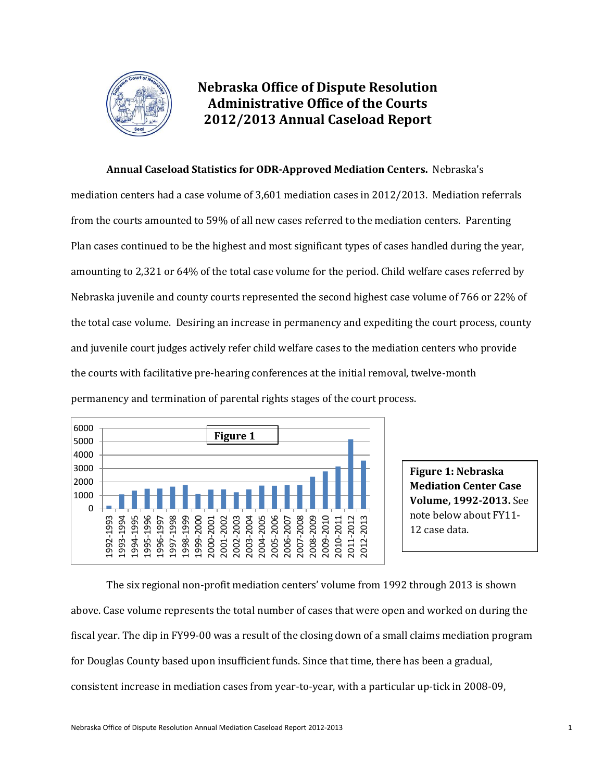

# **Nebraska Office of Dispute Resolution Administrative Office of the Courts 2012/2013 Annual Caseload Report**

## **Annual Caseload Statistics for ODR-Approved Mediation Centers.** Nebraska's

mediation centers had a case volume of 3,601 mediation cases in 2012/2013. Mediation referrals from the courts amounted to 59% of all new cases referred to the mediation centers. Parenting Plan cases continued to be the highest and most significant types of cases handled during the year, amounting to 2,321 or 64% of the total case volume for the period. Child welfare cases referred by Nebraska juvenile and county courts represented the second highest case volume of 766 or 22% of the total case volume. Desiring an increase in permanency and expediting the court process, county and juvenile court judges actively refer child welfare cases to the mediation centers who provide the courts with facilitative pre-hearing conferences at the initial removal, twelve-month permanency and termination of parental rights stages of the court process.



**Figure 1: Nebraska Mediation Center Case Volume, 1992-2013.** See note below about FY11- 12 case data.

The six regional non-profit mediation centers' volume from 1992 through 2013 is shown above. Case volume represents the total number of cases that were open and worked on during the fiscal year. The dip in FY99-00 was a result of the closing down of a small claims mediation program for Douglas County based upon insufficient funds. Since that time, there has been a gradual, consistent increase in mediation cases from year-to-year, with a particular up-tick in 2008-09,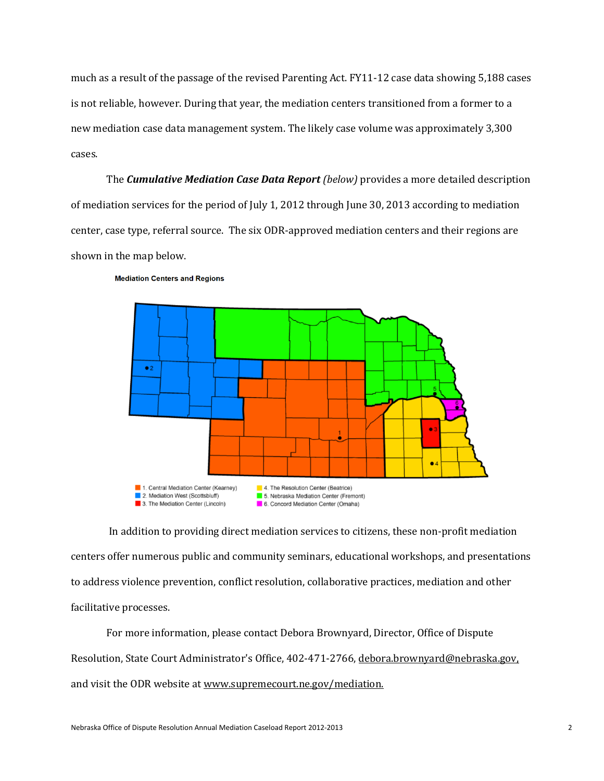much as a result of the passage of the revised Parenting Act. FY11-12 case data showing 5,188 cases is not reliable, however. During that year, the mediation centers transitioned from a former to a new mediation case data management system. The likely case volume was approximately 3,300 cases.

The *Cumulative Mediation Case Data Report (below)* provides a more detailed description of mediation services for the period of July 1, 2012 through June 30, 2013 according to mediation center, case type, referral source. The six ODR-approved mediation centers and their regions are shown in the map below.



**Mediation Centers and Regions** 

In addition to providing direct mediation services to citizens, these non-profit mediation centers offer numerous public and community seminars, educational workshops, and presentations to address violence prevention, conflict resolution, collaborative practices, mediation and other facilitative processes.

For more information, please contact Debora Brownyard, Director, Office of Dispute Resolution, State Court Administrator's Office, 402-471-2766[, debora.brownyard@ne](mailto:debora.brownyard@n)braska.gov, and visit the ODR website a[t www.supremecourt.ne.gov/mediation.](http://www.supremecourt.ne.gov/mediation)